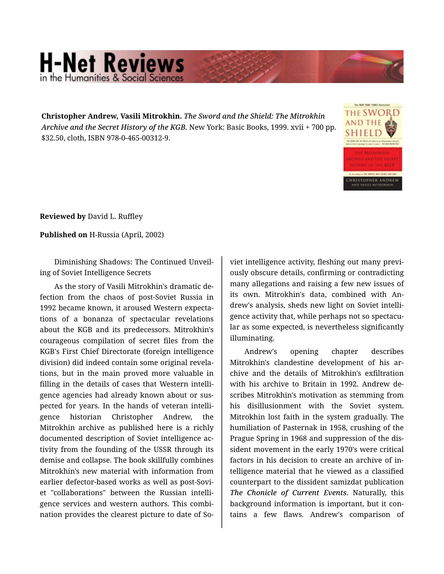## **H-Net Reviews** in the Humanities & Social Scienc

**Christopher Andrew, Vasili Mitrokhin.** *The Sword and the Shield: The Mitrokhin Archive and the Secret History of the KGB.* New York: Basic Books, 1999. xvii + 700 pp. \$32.50, cloth, ISBN 978-0-465-00312-9.



**Reviewed by** David L. Ruffley

**Published on** H-Russia (April, 2002)

Diminishing Shadows: The Continued Unveil‐ ing of Soviet Intelligence Secrets

As the story of Vasili Mitrokhin's dramatic de‐ fection from the chaos of post-Soviet Russia in 1992 became known, it aroused Western expecta‐ tions of a bonanza of spectacular revelations about the KGB and its predecessors. Mitrokhin's courageous compilation of secret files from the KGB's First Chief Directorate (foreign intelligence division) did indeed contain some original revela‐ tions, but in the main proved more valuable in filling in the details of cases that Western intelli‐ gence agencies had already known about or sus‐ pected for years. In the hands of veteran intelli‐ gence historian Christopher Andrew, the Mitrokhin archive as published here is a richly documented description of Soviet intelligence ac‐ tivity from the founding of the USSR through its demise and collapse. The book skillfully combines Mitrokhin's new material with information from earlier defector-based works as well as post-Sovi‐ et "collaborations" between the Russian intelli‐ gence services and western authors. This combi‐ nation provides the clearest picture to date of So‐

viet intelligence activity, fleshing out many previ‐ ously obscure details, confirming or contradicting many allegations and raising a few new issues of its own. Mitrokhin's data, combined with An‐ drew's analysis, sheds new light on Soviet intelli‐ gence activity that, while perhaps not so spectacu‐ lar as some expected, is nevertheless significantly illuminating.

Andrew's opening chapter describes Mitrokhin's clandestine development of his archive and the details of Mitrokhin's exfiltration with his archive to Britain in 1992. Andrew de‐ scribes Mitrokhin's motivation as stemming from his disillusionment with the Soviet system. Mitrokhin lost faith in the system gradually. The humiliation of Pasternak in 1958, crushing of the Prague Spring in 1968 and suppression of the dis‐ sident movement in the early 1970's were critical factors in his decision to create an archive of in‐ telligence material that he viewed as a classified counterpart to the dissident samizdat publication *The Chonicle of Current Events*. Naturally, this background information is important, but it con‐ tains a few flaws. Andrew's comparison of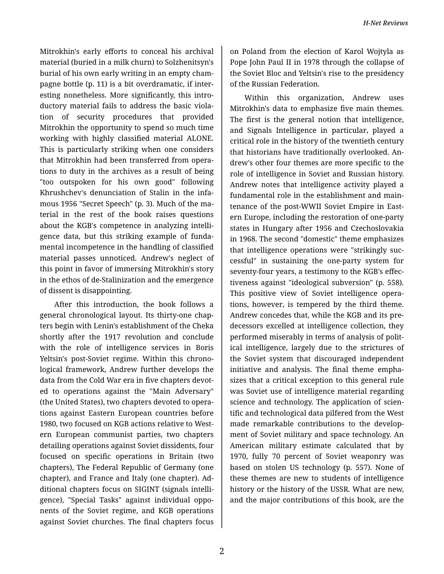Mitrokhin's early efforts to conceal his archival material (buried in a milk churn) to Solzhenitsyn's burial of his own early writing in an empty cham‐ pagne bottle (p. 11) is a bit overdramatic, if inter‐ esting nonetheless. More significantly, this intro‐ ductory material fails to address the basic viola‐ tion of security procedures that provided Mitrokhin the opportunity to spend so much time working with highly classified material ALONE. This is particularly striking when one considers that Mitrokhin had been transferred from opera‐ tions to duty in the archives as a result of being "too outspoken for his own good" following Khrushchev's denunciation of Stalin in the infa‐ mous 1956 "Secret Speech" (p. 3). Much of the ma‐ terial in the rest of the book raises questions about the KGB's competence in analyzing intelli‐ gence data, but this striking example of funda‐ mental incompetence in the handling of classified material passes unnoticed. Andrew's neglect of this point in favor of immersing Mitrokhin's story in the ethos of de-Stalinization and the emergence of dissent is disappointing.

After this introduction, the book follows a general chronological layout. Its thirty-one chap‐ ters begin with Lenin's establishment of the Cheka shortly after the 1917 revolution and conclude with the role of intelligence services in Boris Yeltsin's post-Soviet regime. Within this chrono‐ logical framework, Andrew further develops the data from the Cold War era in five chapters devot‐ ed to operations against the "Main Adversary" (the United States), two chapters devoted to opera‐ tions against Eastern European countries before 1980, two focused on KGB actions relative to West‐ ern European communist parties, two chapters detailing operations against Soviet dissidents, four focused on specific operations in Britain (two chapters), The Federal Republic of Germany (one chapter), and France and Italy (one chapter). Ad‐ ditional chapters focus on SIGINT (signals intelli‐ gence), "Special Tasks" against individual oppo‐ nents of the Soviet regime, and KGB operations against Soviet churches. The final chapters focus

on Poland from the election of Karol Wojtyla as Pope John Paul II in 1978 through the collapse of the Soviet Bloc and Yeltsin's rise to the presidency of the Russian Federation.

Within this organization, Andrew uses Mitrokhin's data to emphasize five main themes. The first is the general notion that intelligence, and Signals Intelligence in particular, played a critical role in the history of the twentieth century that historians have traditionally overlooked. An‐ drew's other four themes are more specific to the role of intelligence in Soviet and Russian history. Andrew notes that intelligence activity played a fundamental role in the establishment and main‐ tenance of the post-WWII Soviet Empire in East‐ ern Europe, including the restoration of one-party states in Hungary after 1956 and Czechoslovakia in 1968. The second "domestic" theme emphasizes that intelligence operations were "strikingly suc‐ cessful" in sustaining the one-party system for seventy-four years, a testimony to the KGB's effec‐ tiveness against "ideological subversion" (p. 558). This positive view of Soviet intelligence opera‐ tions, however, is tempered by the third theme. Andrew concedes that, while the KGB and its pre‐ decessors excelled at intelligence collection, they performed miserably in terms of analysis of polit‐ ical intelligence, largely due to the strictures of the Soviet system that discouraged independent initiative and analysis. The final theme empha‐ sizes that a critical exception to this general rule was Soviet use of intelligence material regarding science and technology. The application of scien‐ tific and technological data pilfered from the West made remarkable contributions to the develop‐ ment of Soviet military and space technology. An American military estimate calculated that by 1970, fully 70 percent of Soviet weaponry was based on stolen US technology (p. 557). None of these themes are new to students of intelligence history or the history of the USSR. What are new, and the major contributions of this book, are the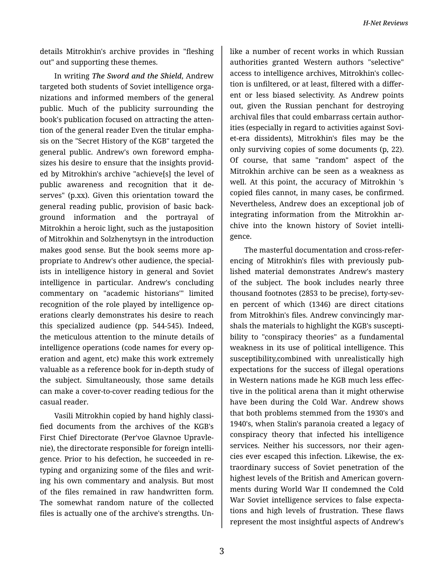*H-Net Reviews*

details Mitrokhin's archive provides in "fleshing out" and supporting these themes.

In writing *The Sword and the Shield*, Andrew targeted both students of Soviet intelligence orga‐ nizations and informed members of the general public. Much of the publicity surrounding the book's publication focused on attracting the atten‐ tion of the general reader Even the titular empha‐ sis on the "Secret History of the KGB" targeted the general public. Andrew's own foreword empha‐ sizes his desire to ensure that the insights provid‐ ed by Mitrokhin's archive "achieve[s] the level of public awareness and recognition that it de‐ serves" (p.xx). Given this orientation toward the general reading public, provision of basic back‐ ground information and the portrayal of Mitrokhin a heroic light, such as the justaposition of Mitrokhin and Solzhenytsyn in the introduction makes good sense. But the book seems more ap‐ propriate to Andrew's other audience, the special‐ ists in intelligence history in general and Soviet intelligence in particular. Andrew's concluding commentary on "academic historians'" limited recognition of the role played by intelligence op‐ erations clearly demonstrates his desire to reach this specialized audience (pp. 544-545). Indeed, the meticulous attention to the minute details of intelligence operations (code names for every op‐ eration and agent, etc) make this work extremely valuable as a reference book for in-depth study of the subject. Simultaneously, those same details can make a cover-to-cover reading tedious for the casual reader.

Vasili Mitrokhin copied by hand highly classi‐ fied documents from the archives of the KGB's First Chief Directorate (Per'voe Glavnoe Upravle‐ nie), the directorate responsible for foreign intelli‐ gence. Prior to his defection, he succeeded in retyping and organizing some of the files and writ‐ ing his own commentary and analysis. But most of the files remained in raw handwritten form. The somewhat random nature of the collected files is actually one of the archive's strengths. Un‐

like a number of recent works in which Russian authorities granted Western authors "selective" access to intelligence archives, Mitrokhin's collec‐ tion is unfiltered, or at least, filtered with a differ‐ ent or less biased selectivity. As Andrew points out, given the Russian penchant for destroying archival files that could embarrass certain author‐ ities (especially in regard to activities against Sovi‐ et-era dissidents), Mitrokhin's files may be the only surviving copies of some documents (p, 22). Of course, that same "random" aspect of the Mitrokhin archive can be seen as a weakness as well. At this point, the accuracy of Mitrokhin 's copied files cannot, in many cases, be confirmed. Nevertheless, Andrew does an exceptional job of integrating information from the Mitrokhin archive into the known history of Soviet intelli‐ gence.

The masterful documentation and cross-refer‐ encing of Mitrokhin's files with previously pub‐ lished material demonstrates Andrew's mastery of the subject. The book includes nearly three thousand footnotes (2853 to be precise), forty-sev‐ en percent of which (1346) are direct citations from Mitrokhin's files. Andrew convincingly marshals the materials to highlight the KGB's suscepti‐ bility to "conspiracy theories" as a fundamental weakness in its use of political intelligence. This susceptibility,combined with unrealistically high expectations for the success of illegal operations in Western nations made he KGB much less effec‐ tive in the political arena than it might otherwise have been during the Cold War. Andrew shows that both problems stemmed from the 1930's and 1940's, when Stalin's paranoia created a legacy of conspiracy theory that infected his intelligence services. Neither his successors, nor their agencies ever escaped this infection. Likewise, the ex‐ traordinary success of Soviet penetration of the highest levels of the British and American govern‐ ments during World War II condemned the Cold War Soviet intelligence services to false expecta‐ tions and high levels of frustration. These flaws represent the most insightful aspects of Andrew's